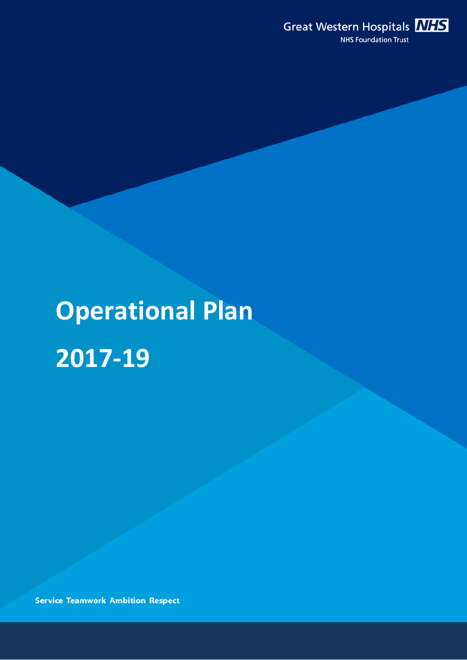

# **Operational Plan 2017-19**

**Service Teamwork Ambition Respect**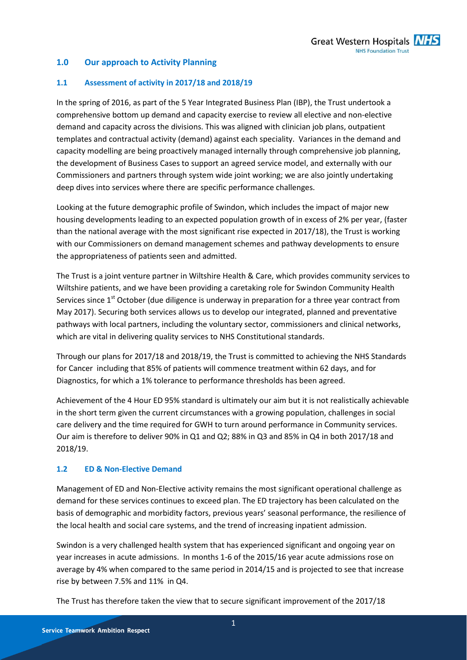# **1.0 Our approach to Activity Planning**

#### **1.1 Assessment of activity in 2017/18 and 2018/19**

In the spring of 2016, as part of the 5 Year Integrated Business Plan (IBP), the Trust undertook a comprehensive bottom up demand and capacity exercise to review all elective and non-elective demand and capacity across the divisions. This was aligned with clinician job plans, outpatient templates and contractual activity (demand) against each speciality. Variances in the demand and capacity modelling are being proactively managed internally through comprehensive job planning, the development of Business Cases to support an agreed service model, and externally with our Commissioners and partners through system wide joint working; we are also jointly undertaking deep dives into services where there are specific performance challenges.

Looking at the future demographic profile of Swindon, which includes the impact of major new housing developments leading to an expected population growth of in excess of 2% per year, (faster than the national average with the most significant rise expected in 2017/18), the Trust is working with our Commissioners on demand management schemes and pathway developments to ensure the appropriateness of patients seen and admitted.

The Trust is a joint venture partner in Wiltshire Health & Care, which provides community services to Wiltshire patients, and we have been providing a caretaking role for Swindon Community Health Services since  $1<sup>st</sup>$  October (due diligence is underway in preparation for a three year contract from May 2017). Securing both services allows us to develop our integrated, planned and preventative pathways with local partners, including the voluntary sector, commissioners and clinical networks, which are vital in delivering quality services to NHS Constitutional standards.

Through our plans for 2017/18 and 2018/19, the Trust is committed to achieving the NHS Standards for Cancer including that 85% of patients will commence treatment within 62 days, and for Diagnostics, for which a 1% tolerance to performance thresholds has been agreed.

Achievement of the 4 Hour ED 95% standard is ultimately our aim but it is not realistically achievable in the short term given the current circumstances with a growing population, challenges in social care delivery and the time required for GWH to turn around performance in Community services. Our aim is therefore to deliver 90% in Q1 and Q2; 88% in Q3 and 85% in Q4 in both 2017/18 and 2018/19.

#### **1.2 ED & Non-Elective Demand**

Management of ED and Non-Elective activity remains the most significant operational challenge as demand for these services continues to exceed plan. The ED trajectory has been calculated on the basis of demographic and morbidity factors, previous years' seasonal performance, the resilience of the local health and social care systems, and the trend of increasing inpatient admission.

Swindon is a very challenged health system that has experienced significant and ongoing year on year increases in acute admissions. In months 1-6 of the 2015/16 year acute admissions rose on average by 4% when compared to the same period in 2014/15 and is projected to see that increase rise by between 7.5% and 11% in Q4.

The Trust has therefore taken the view that to secure significant improvement of the 2017/18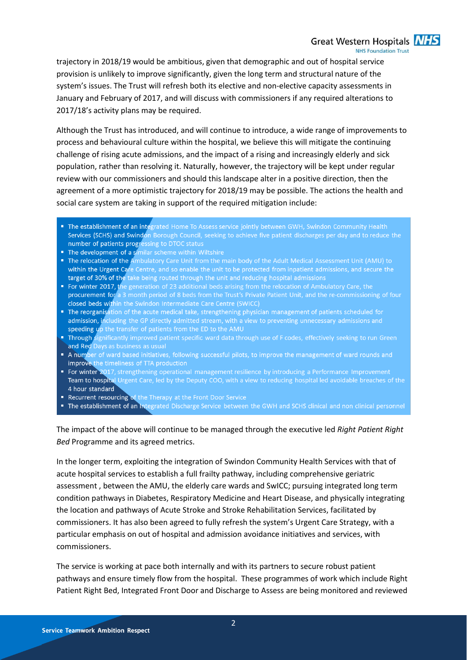Great Western Hospitals **NHS NHS Foundation Trust** 

trajectory in 2018/19 would be ambitious, given that demographic and out of hospital service provision is unlikely to improve significantly, given the long term and structural nature of the system's issues. The Trust will refresh both its elective and non-elective capacity assessments in January and February of 2017, and will discuss with commissioners if any required alterations to 2017/18's activity plans may be required.

Although the Trust has introduced, and will continue to introduce, a wide range of improvements to process and behavioural culture within the hospital, we believe this will mitigate the continuing challenge of rising acute admissions, and the impact of a rising and increasingly elderly and sick population, rather than resolving it. Naturally, however, the trajectory will be kept under regular review with our commissioners and should this landscape alter in a positive direction, then the agreement of a more optimistic trajectory for 2018/19 may be possible. The actions the health and social care system are taking in support of the required mitigation include:

- The establishment of an integrated Home To Assess service jointly between GWH, Swindon Community Health Services (SCHS) and Swindon Borough Council, seeking to achieve five patient discharges per day and to reduce the number of patients progressing to DTOC status
- The development of a similar scheme within Wiltshire
- The relocation of the Ambulatory Care Unit from the main body of the Adult Medical Assessment Unit (AMU) to within the Urgent Care Centre, and so enable the unit to be protected from inpatient admissions, and secure the target of 30% of the take being routed through the unit and reducing hospital admissions
- For winter 2017, the generation of 23 additional beds arising from the relocation of Ambulatory Care, the procurement for a 3 month period of 8 beds from the Trust's Private Patient Unit, and the re-commissioning of four closed beds within the Swindon Intermediate Care Centre (SWICC)
- The reorganisation of the acute medical take, strengthening physician management of patients scheduled for admission, including the GP directly admitted stream, with a view to preventing unnecessary admissions and speeding up the transfer of patients from the ED to the AMU
- Through significantly improved patient specific ward data through use of F codes, effectively seeking to run Green and Red Days as business as usual
- A number of ward based initiatives, following successful pilots, to improve the management of ward rounds and improve the timeliness of TTA production
- " For winter 2017, strengthening operational management resilience by introducing a Performance Improvement Team to hospital Urgent Care, led by the Deputy COO, with a view to reducing hospital led avoidable breaches of the 4 hour standard
- Recurrent resourcing of the Therapy at the Front Door Service
- The establishment of an integrated Discharge Service between the GWH and SCHS clinical and non clinical personnel

The impact of the above will continue to be managed through the executive led *Right Patient Right Bed* Programme and its agreed metrics.

In the longer term, exploiting the integration of Swindon Community Health Services with that of acute hospital services to establish a full frailty pathway, including comprehensive geriatric assessment , between the AMU, the elderly care wards and SwICC; pursuing integrated long term condition pathways in Diabetes, Respiratory Medicine and Heart Disease, and physically integrating the location and pathways of Acute Stroke and Stroke Rehabilitation Services, facilitated by commissioners. It has also been agreed to fully refresh the system's Urgent Care Strategy, with a particular emphasis on out of hospital and admission avoidance initiatives and services, with commissioners.

The service is working at pace both internally and with its partners to secure robust patient pathways and ensure timely flow from the hospital. These programmes of work which include Right Patient Right Bed, Integrated Front Door and Discharge to Assess are being monitored and reviewed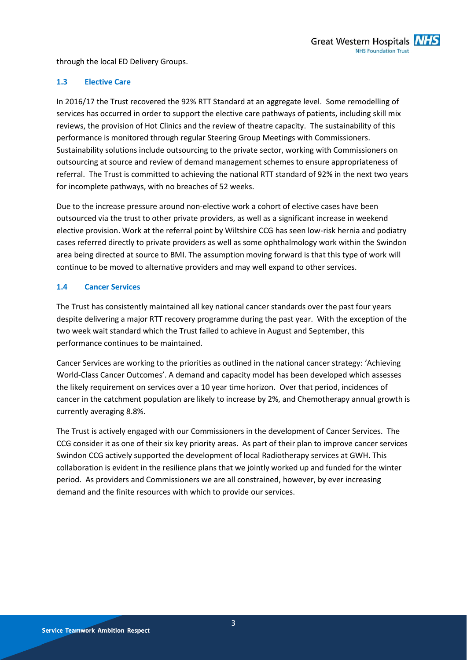through the local ED Delivery Groups.

# **1.3 Elective Care**

In 2016/17 the Trust recovered the 92% RTT Standard at an aggregate level. Some remodelling of services has occurred in order to support the elective care pathways of patients, including skill mix reviews, the provision of Hot Clinics and the review of theatre capacity. The sustainability of this performance is monitored through regular Steering Group Meetings with Commissioners. Sustainability solutions include outsourcing to the private sector, working with Commissioners on outsourcing at source and review of demand management schemes to ensure appropriateness of referral. The Trust is committed to achieving the national RTT standard of 92% in the next two years for incomplete pathways, with no breaches of 52 weeks.

Due to the increase pressure around non-elective work a cohort of elective cases have been outsourced via the trust to other private providers, as well as a significant increase in weekend elective provision. Work at the referral point by Wiltshire CCG has seen low-risk hernia and podiatry cases referred directly to private providers as well as some ophthalmology work within the Swindon area being directed at source to BMI. The assumption moving forward is that this type of work will continue to be moved to alternative providers and may well expand to other services.

# **1.4 Cancer Services**

The Trust has consistently maintained all key national cancer standards over the past four years despite delivering a major RTT recovery programme during the past year. With the exception of the two week wait standard which the Trust failed to achieve in August and September, this performance continues to be maintained.

Cancer Services are working to the priorities as outlined in the national cancer strategy: 'Achieving World-Class Cancer Outcomes'. A demand and capacity model has been developed which assesses the likely requirement on services over a 10 year time horizon. Over that period, incidences of cancer in the catchment population are likely to increase by 2%, and Chemotherapy annual growth is currently averaging 8.8%.

The Trust is actively engaged with our Commissioners in the development of Cancer Services. The CCG consider it as one of their six key priority areas. As part of their plan to improve cancer services Swindon CCG actively supported the development of local Radiotherapy services at GWH. This collaboration is evident in the resilience plans that we jointly worked up and funded for the winter period. As providers and Commissioners we are all constrained, however, by ever increasing demand and the finite resources with which to provide our services.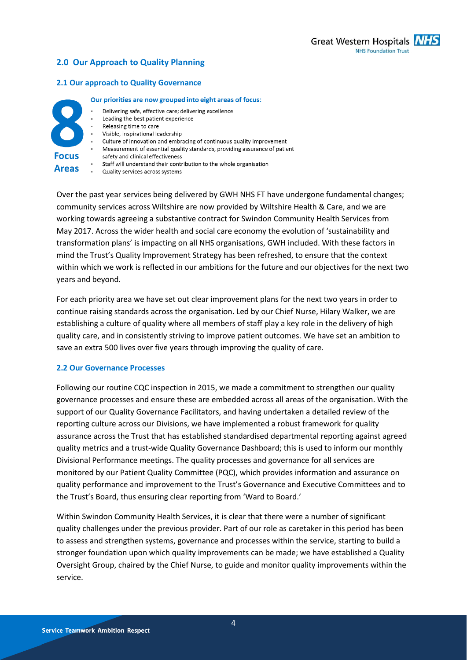# **2.0 Our Approach to Quality Planning**

#### **2.1 Our approach to Quality Governance**

#### Our priorities are now grouped into eight areas of focus:



- Delivering safe, effective care: delivering excellence
- Leading the best patient experience
- Releasing time to care
- Visible, inspirational leadership
- Culture of innovation and embracing of continuous quality improvement
- Measurement of essential quality standards, providing assurance of patient
- safety and clinical effectiveness
- Staff will understand their contribution to the whole organisation
- Quality services across systems

Over the past year services being delivered by GWH NHS FT have undergone fundamental changes; community services across Wiltshire are now provided by Wiltshire Health & Care, and we are working towards agreeing a substantive contract for Swindon Community Health Services from May 2017. Across the wider health and social care economy the evolution of 'sustainability and transformation plans' is impacting on all NHS organisations, GWH included. With these factors in mind the Trust's Quality Improvement Strategy has been refreshed, to ensure that the context within which we work is reflected in our ambitions for the future and our objectives for the next two years and beyond.

For each priority area we have set out clear improvement plans for the next two years in order to continue raising standards across the organisation. Led by our Chief Nurse, Hilary Walker, we are establishing a culture of quality where all members of staff play a key role in the delivery of high quality care, and in consistently striving to improve patient outcomes. We have set an ambition to save an extra 500 lives over five years through improving the quality of care.

#### **2.2 Our Governance Processes**

Following our routine CQC inspection in 2015, we made a commitment to strengthen our quality governance processes and ensure these are embedded across all areas of the organisation. With the support of our Quality Governance Facilitators, and having undertaken a detailed review of the reporting culture across our Divisions, we have implemented a robust framework for quality assurance across the Trust that has established standardised departmental reporting against agreed quality metrics and a trust-wide Quality Governance Dashboard; this is used to inform our monthly Divisional Performance meetings. The quality processes and governance for all services are monitored by our Patient Quality Committee (PQC), which provides information and assurance on quality performance and improvement to the Trust's Governance and Executive Committees and to the Trust's Board, thus ensuring clear reporting from 'Ward to Board.'

Within Swindon Community Health Services, it is clear that there were a number of significant quality challenges under the previous provider. Part of our role as caretaker in this period has been to assess and strengthen systems, governance and processes within the service, starting to build a stronger foundation upon which quality improvements can be made; we have established a Quality Oversight Group, chaired by the Chief Nurse, to guide and monitor quality improvements within the service.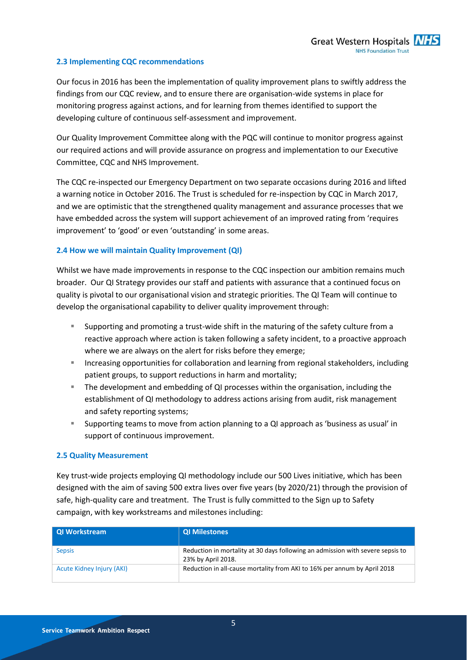#### **2.3 Implementing CQC recommendations**

Our focus in 2016 has been the implementation of quality improvement plans to swiftly address the findings from our CQC review, and to ensure there are organisation-wide systems in place for monitoring progress against actions, and for learning from themes identified to support the developing culture of continuous self-assessment and improvement.

Our Quality Improvement Committee along with the PQC will continue to monitor progress against our required actions and will provide assurance on progress and implementation to our Executive Committee, CQC and NHS Improvement.

The CQC re-inspected our Emergency Department on two separate occasions during 2016 and lifted a warning notice in October 2016. The Trust is scheduled for re-inspection by CQC in March 2017, and we are optimistic that the strengthened quality management and assurance processes that we have embedded across the system will support achievement of an improved rating from 'requires improvement' to 'good' or even 'outstanding' in some areas.

#### **2.4 How we will maintain Quality Improvement (QI)**

Whilst we have made improvements in response to the CQC inspection our ambition remains much broader. Our QI Strategy provides our staff and patients with assurance that a continued focus on quality is pivotal to our organisational vision and strategic priorities. The QI Team will continue to develop the organisational capability to deliver quality improvement through:

- Supporting and promoting a trust-wide shift in the maturing of the safety culture from a reactive approach where action is taken following a safety incident, to a proactive approach where we are always on the alert for risks before they emerge;
- **Increasing opportunities for collaboration and learning from regional stakeholders, including** patient groups, to support reductions in harm and mortality;
- The development and embedding of QI processes within the organisation, including the establishment of QI methodology to address actions arising from audit, risk management and safety reporting systems;
- Supporting teams to move from action planning to a QI approach as 'business as usual' in support of continuous improvement.

#### **2.5 Quality Measurement**

Key trust-wide projects employing QI methodology include our 500 Lives initiative, which has been designed with the aim of saving 500 extra lives over five years (by 2020/21) through the provision of safe, high-quality care and treatment. The Trust is fully committed to the Sign up to Safety campaign, with key workstreams and milestones including:

| QI Workstream             | <b>QI Milestones</b>                                                                                 |
|---------------------------|------------------------------------------------------------------------------------------------------|
| <b>Sepsis</b>             | Reduction in mortality at 30 days following an admission with severe sepsis to<br>23% by April 2018. |
| Acute Kidney Injury (AKI) | Reduction in all-cause mortality from AKI to 16% per annum by April 2018                             |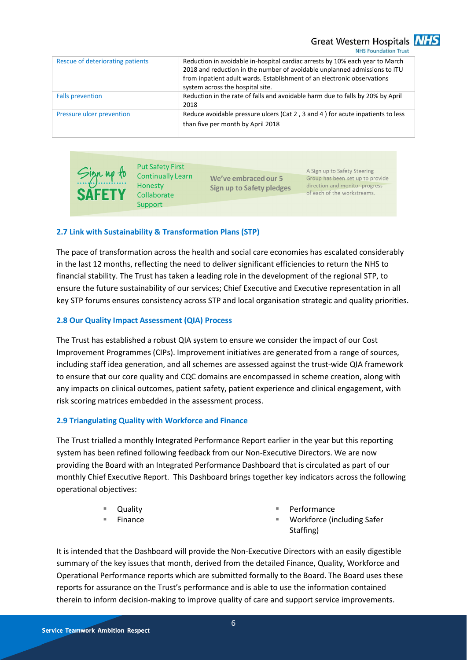Great Western Hospitals **NHS** 

**NHS Foundation Trust** 

| Rescue of deteriorating patients | Reduction in avoidable in-hospital cardiac arrests by 10% each year to March<br>2018 and reduction in the number of avoidable unplanned admissions to ITU<br>from inpatient adult wards. Establishment of an electronic observations<br>system across the hospital site. |
|----------------------------------|--------------------------------------------------------------------------------------------------------------------------------------------------------------------------------------------------------------------------------------------------------------------------|
| <b>Falls prevention</b>          | Reduction in the rate of falls and avoidable harm due to falls by 20% by April<br>2018                                                                                                                                                                                   |
| Pressure ulcer prevention        | Reduce avoidable pressure ulcers (Cat 2, 3 and 4) for acute inpatients to less<br>than five per month by April 2018                                                                                                                                                      |



**Put Safety First** Honesty Collaborate Support

Continually Learn We've embraced our 5 **Sign up to Safety pledges** 

A Sign up to Safety Steering Group has been set up to provide direction and monitor progress of each of the workstreams.

# **2.7 Link with Sustainability & Transformation Plans (STP)**

The pace of transformation across the health and social care economies has escalated considerably in the last 12 months, reflecting the need to deliver significant efficiencies to return the NHS to financial stability. The Trust has taken a leading role in the development of the regional STP, to ensure the future sustainability of our services; Chief Executive and Executive representation in all key STP forums ensures consistency across STP and local organisation strategic and quality priorities.

#### **2.8 Our Quality Impact Assessment (QIA) Process**

The Trust has established a robust QIA system to ensure we consider the impact of our Cost Improvement Programmes (CIPs). Improvement initiatives are generated from a range of sources, including staff idea generation, and all schemes are assessed against the trust-wide QIA framework to ensure that our core quality and CQC domains are encompassed in scheme creation, along with any impacts on clinical outcomes, patient safety, patient experience and clinical engagement, with risk scoring matrices embedded in the assessment process.

#### **2.9 Triangulating Quality with Workforce and Finance**

The Trust trialled a monthly Integrated Performance Report earlier in the year but this reporting system has been refined following feedback from our Non-Executive Directors. We are now providing the Board with an Integrated Performance Dashboard that is circulated as part of our monthly Chief Executive Report. This Dashboard brings together key indicators across the following operational objectives:

- Quality
- Finance
- Performance
- Workforce (including Safer Staffing)

It is intended that the Dashboard will provide the Non-Executive Directors with an easily digestible summary of the key issues that month, derived from the detailed Finance, Quality, Workforce and Operational Performance reports which are submitted formally to the Board. The Board uses these reports for assurance on the Trust's performance and is able to use the information contained therein to inform decision-making to improve quality of care and support service improvements.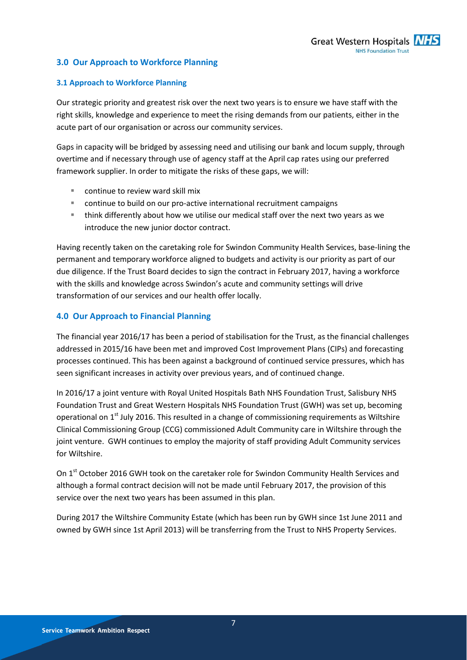# **3.0 Our Approach to Workforce Planning**

# **3.1 Approach to Workforce Planning**

Our strategic priority and greatest risk over the next two years is to ensure we have staff with the right skills, knowledge and experience to meet the rising demands from our patients, either in the acute part of our organisation or across our community services.

Gaps in capacity will be bridged by assessing need and utilising our bank and locum supply, through overtime and if necessary through use of agency staff at the April cap rates using our preferred framework supplier. In order to mitigate the risks of these gaps, we will:

- continue to review ward skill mix
- continue to build on our pro-active international recruitment campaigns
- think differently about how we utilise our medical staff over the next two years as we introduce the new junior doctor contract.

Having recently taken on the caretaking role for Swindon Community Health Services, base-lining the permanent and temporary workforce aligned to budgets and activity is our priority as part of our due diligence. If the Trust Board decides to sign the contract in February 2017, having a workforce with the skills and knowledge across Swindon's acute and community settings will drive transformation of our services and our health offer locally.

# **4.0 Our Approach to Financial Planning**

The financial year 2016/17 has been a period of stabilisation for the Trust, as the financial challenges addressed in 2015/16 have been met and improved Cost Improvement Plans (CIPs) and forecasting processes continued. This has been against a background of continued service pressures, which has seen significant increases in activity over previous years, and of continued change.

In 2016/17 a joint venture with Royal United Hospitals Bath NHS Foundation Trust, Salisbury NHS Foundation Trust and Great Western Hospitals NHS Foundation Trust (GWH) was set up, becoming operational on 1<sup>st</sup> July 2016. This resulted in a change of commissioning requirements as Wiltshire Clinical Commissioning Group (CCG) commissioned Adult Community care in Wiltshire through the joint venture. GWH continues to employ the majority of staff providing Adult Community services for Wiltshire.

On 1<sup>st</sup> October 2016 GWH took on the caretaker role for Swindon Community Health Services and although a formal contract decision will not be made until February 2017, the provision of this service over the next two years has been assumed in this plan.

During 2017 the Wiltshire Community Estate (which has been run by GWH since 1st June 2011 and owned by GWH since 1st April 2013) will be transferring from the Trust to NHS Property Services.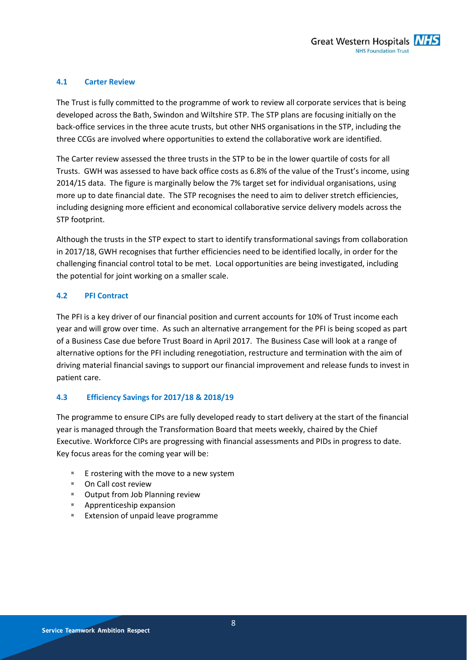# **4.1 Carter Review**

The Trust is fully committed to the programme of work to review all corporate services that is being developed across the Bath, Swindon and Wiltshire STP. The STP plans are focusing initially on the back-office services in the three acute trusts, but other NHS organisations in the STP, including the three CCGs are involved where opportunities to extend the collaborative work are identified.

The Carter review assessed the three trusts in the STP to be in the lower quartile of costs for all Trusts. GWH was assessed to have back office costs as 6.8% of the value of the Trust's income, using 2014/15 data. The figure is marginally below the 7% target set for individual organisations, using more up to date financial date. The STP recognises the need to aim to deliver stretch efficiencies, including designing more efficient and economical collaborative service delivery models across the STP footprint.

Although the trusts in the STP expect to start to identify transformational savings from collaboration in 2017/18, GWH recognises that further efficiencies need to be identified locally, in order for the challenging financial control total to be met. Local opportunities are being investigated, including the potential for joint working on a smaller scale.

# **4.2 PFI Contract**

The PFI is a key driver of our financial position and current accounts for 10% of Trust income each year and will grow over time. As such an alternative arrangement for the PFI is being scoped as part of a Business Case due before Trust Board in April 2017. The Business Case will look at a range of alternative options for the PFI including renegotiation, restructure and termination with the aim of driving material financial savings to support our financial improvement and release funds to invest in patient care.

#### **4.3 Efficiency Savings for 2017/18 & 2018/19**

The programme to ensure CIPs are fully developed ready to start delivery at the start of the financial year is managed through the Transformation Board that meets weekly, chaired by the Chief Executive. Workforce CIPs are progressing with financial assessments and PIDs in progress to date. Key focus areas for the coming year will be:

- E rostering with the move to a new system
- On Call cost review
- **URIDE:** Output from Job Planning review
- **Apprenticeship expansion**
- **Extension of unpaid leave programme**